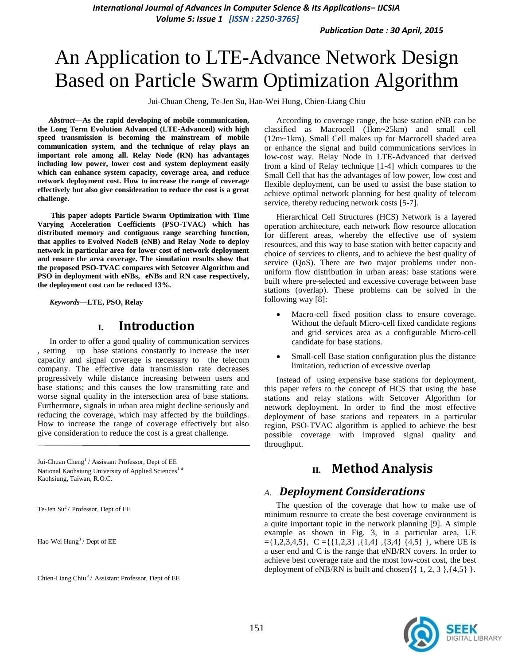*Publication Date : 30 April, 2015*

# An Application to LTE-Advance Network Design Based on Particle Swarm Optimization Algorithm

Jui-Chuan Cheng, Te-Jen Su, Hao-Wei Hung, Chien-Liang Chiu

*Abstract***—As the rapid developing of mobile communication, the Long Term Evolution Advanced (LTE-Advanced) with high speed transmission is becoming the mainstream of mobile communication system, and the technique of relay plays an important role among all. Relay Node (RN) has advantages including low power, lower cost and system deployment easily which can enhance system capacity, coverage area, and reduce network deployment cost. How to increase the range of coverage effectively but also give consideration to reduce the cost is a great challenge.**

**This paper adopts Particle Swarm Optimization with Time Varying Acceleration Coefficients (PSO-TVAC) which has distributed memory and contiguous range searching function, that applies to Evolved NodeB (eNB) and Relay Node to deploy network in particular area for lower cost of network deployment and ensure the area coverage. The simulation results show that the proposed PSO-TVAC compares with Setcover Algorithm and PSO in deployment with eNBs, eNBs and RN case respectively, the deployment cost can be reduced 13%.**

*Keywords—***LTE, PSO, Relay**

## **I. Introduction**

In order to offer a good quality of communication services , setting up base stations constantly to increase the user capacity and signal coverage is necessary to the telecom company. The effective data transmission rate decreases progressively while distance increasing between users and base stations; and this causes the low transmitting rate and worse signal quality in the intersection area of base stations. Furthermore, signals in urban area might decline seriously and reducing the coverage, which may affected by the buildings. How to increase the range of coverage effectively but also give consideration to reduce the cost is a great challenge.

Jui-Chuan Cheng<sup>1</sup> / Assistant Professor, Dept of EE National Kaohsiung University of Applied Sciences<sup>1-4</sup> Kaohsiung, Taiwan, R.O.C.

Te-Jen Su<sup>2</sup>/ Professor, Dept of EE

Hao-Wei Hung<sup>3</sup> / Dept of EE

Chien-Liang Chiu<sup>4</sup>/ Assistant Professor, Dept of EE

According to coverage range, the base station eNB can be classified as Macrocell (1km~25km) and small cell (12m~1km). Small Cell makes up for Macrocell shaded area or enhance the signal and build communications services in low-cost way. Relay Node in LTE-Advanced that derived from a kind of Relay technique [1-4] which compares to the Small Cell that has the advantages of low power, low cost and flexible deployment, can be used to assist the base station to achieve optimal network planning for best quality of telecom service, thereby reducing network costs [5-7].

Hierarchical Cell Structures (HCS) Network is a layered operation architecture, each network flow resource allocation for different areas, whereby the effective use of system resources, and this way to base station with better capacity and choice of services to clients, and to achieve the best quality of service (QoS). There are two major problems under nonuniform flow distribution in urban areas: base stations were built where pre-selected and excessive coverage between base stations (overlap). These problems can be solved in the following way [8]:

- Macro-cell fixed position class to ensure coverage. Without the default Micro-cell fixed candidate regions and grid services area as a configurable Micro-cell candidate for base stations.
- Small-cell Base station configuration plus the distance limitation, reduction of excessive overlap

Instead of using expensive base stations for deployment, this paper refers to the concept of HCS that using the base stations and relay stations with Setcover Algorithm for network deployment. In order to find the most effective deployment of base stations and repeaters in a particular region, PSO-TVAC algorithm is applied to achieve the best possible coverage with improved signal quality and throughput.

## **II. Method Analysis**

#### *A. Deployment Considerations*

The question of the coverage that how to make use of minimum resource to create the best coverage environment is a quite important topic in the network planning [9]. A simple example as shown in Fig. 3, in a particular area, UE  $=\{1,2,3,4,5\},\ C=\{\{1,2,3\},\{1,4\},\{3,4\}\ \{4,5\}\},\$  where UE is a user end and C is the range that eNB/RN covers. In order to achieve best coverage rate and the most low-cost cost, the best deployment of eNB/RN is built and chosen $\{ \{ 1, 2, 3 \}, \{4,5\} \}.$ 

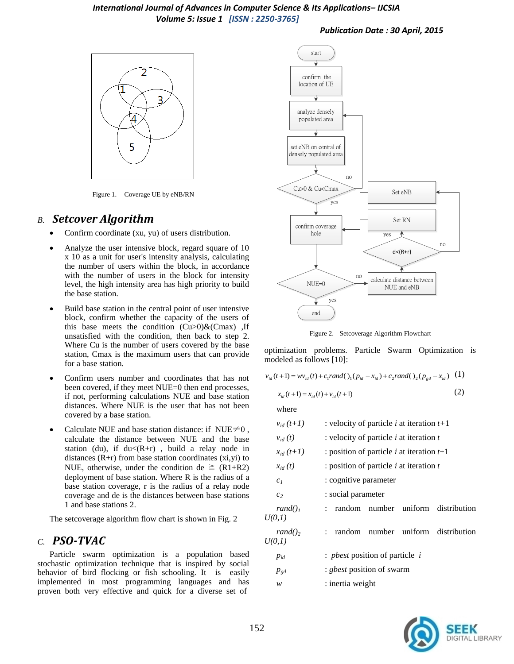#### *Publication Date : 30 April, 2015*



Figure 1. Coverage UE by eNB/RN

## *B. Setcover Algorithm*

- Confirm coordinate (xu, yu) of users distribution.
- Analyze the user intensive block, regard square of 10 x 10 as a unit for user's intensity analysis, calculating the number of users within the block, in accordance with the number of users in the block for intensity level, the high intensity area has high priority to build the base station.
- Build base station in the central point of user intensive block, confirm whether the capacity of the users of this base meets the condition  $(Cu>0)$ &(Cmax), If unsatisfied with the condition, then back to step 2. Where Cu is the number of users covered by the base station, Cmax is the maximum users that can provide for a base station.
- Confirm users number and coordinates that has not been covered, if they meet NUE=0 then end processes, if not, performing calculations NUE and base station distances. Where NUE is the user that has not been covered by a base station.
- Calculate NUE and base station distance: if NUE $\neq$ 0, calculate the distance between NUE and the base station (du), if  $du<(R+r)$ , build a relay node in distances  $(R+r)$  from base station coordinates  $(xi,yi)$  to NUE, otherwise, under the condition de  $\geq (R1+R2)$ deployment of base station. Where R is the radius of a base station coverage, r is the radius of a relay node coverage and de is the distances between base stations 1 and base stations 2.

The setcoverage algorithm flow chart is shown in Fig. 2

## *C. PSO-TVAC*

Particle swarm optimization is a population based stochastic optimization technique that is inspired by social behavior of bird flocking or fish schooling. It is easily implemented in most programming languages and has proven both very effective and quick for a diverse set of



Figure 2. Setcoverage Algorithm Flowchart

optimization problems. Particle Swarm Optimization is modeled as follows [10]:

$$
v_{id}(t+1) = w v_{id}(t) + c_1 rand(1) (p_{id} - x_{id}) + c_2 rand(1) (p_{gd} - x_{id})
$$
 (1)

$$
x_{id}(t+1) = x_{id}(t) + v_{id}(t+1)
$$
 (2)

where

| $v_{id}(t+1)$        | : velocity of particle <i>i</i> at iteration $t+1$              |  |  |  |
|----------------------|-----------------------------------------------------------------|--|--|--|
| $v_{id}(t)$          | : velocity of particle $i$ at iteration $t$                     |  |  |  |
| $x_{id}(t+1)$        | : position of particle <i>i</i> at iteration $t+1$              |  |  |  |
| $x_{id}(t)$          | : position of particle i at iteration $t$                       |  |  |  |
| c <sub>1</sub>       | : cognitive parameter                                           |  |  |  |
| c <sub>2</sub>       | : social parameter                                              |  |  |  |
| $rand()_1$<br>U(0,1) | random number uniform distribution<br>$\mathbb{R}^{\mathbb{Z}}$ |  |  |  |
| $rand()$ ,<br>U(0,1) | random number uniform distribution<br>$\mathbb{R}^{\mathbb{Z}}$ |  |  |  |
| $p_{id}$             | : <i>pbest</i> position of particle <i>i</i>                    |  |  |  |
| $p_{gd}$             | : <i>gbest</i> position of swarm                                |  |  |  |
| w                    | : inertia weight                                                |  |  |  |
|                      |                                                                 |  |  |  |

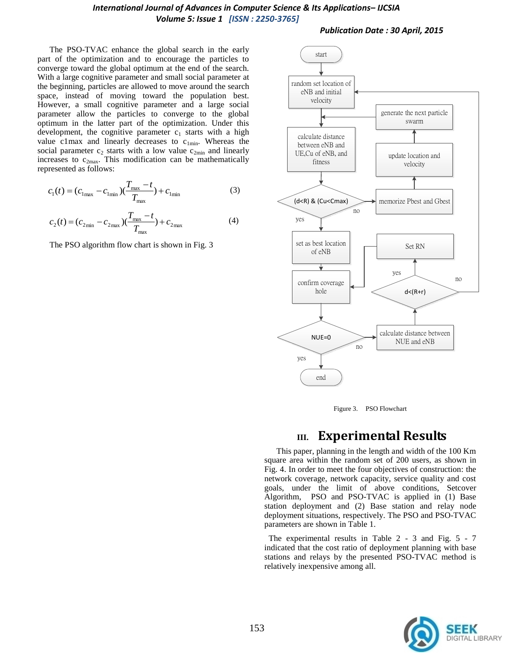*Publication Date : 30 April, 2015*

The PSO-TVAC enhance the global search in the early part of the optimization and to encourage the particles to converge toward the global optimum at the end of the search. With a large cognitive parameter and small social parameter at the beginning, particles are allowed to move around the search space, instead of moving toward the population best. However, a small cognitive parameter and a large social parameter allow the particles to converge to the global optimum in the latter part of the optimization. Under this development, the cognitive parameter  $c_1$  starts with a high value c1max and linearly decreases to  $c_{1min}$ . Whereas the social parameter  $c_2$  starts with a low value  $c_{2min}$  and linearly increases to  $c_{2max}$ . This modification can be mathematically represented as follows:

$$
c_1(t) = (c_{1\text{max}} - c_{1\text{min}})(\frac{T_{\text{max}} - t}{T_{\text{max}}}) + c_{1\text{min}}
$$
(3)

$$
c_2(t) = (c_{2\min} - c_{2\max})(\frac{T_{\max} - t}{T_{\max}}) + c_{2\max}
$$
 (4)

The PSO algorithm flow chart is shown in Fig. 3





## **III. Experimental Results**

This paper, planning in the length and width of the 100 Km square area within the random set of 200 users, as shown in Fig. 4. In order to meet the four objectives of construction: the network coverage, network capacity, service quality and cost goals, under the limit of above conditions, Setcover Algorithm, PSO and PSO-TVAC is applied in (1) Base station deployment and (2) Base station and relay node deployment situations, respectively. The PSO and PSO-TVAC parameters are shown in Table 1.

The experimental results in Table 2 - 3 and Fig. 5 - 7 indicated that the cost ratio of deployment planning with base stations and relays by the presented PSO-TVAC method is relatively inexpensive among all.

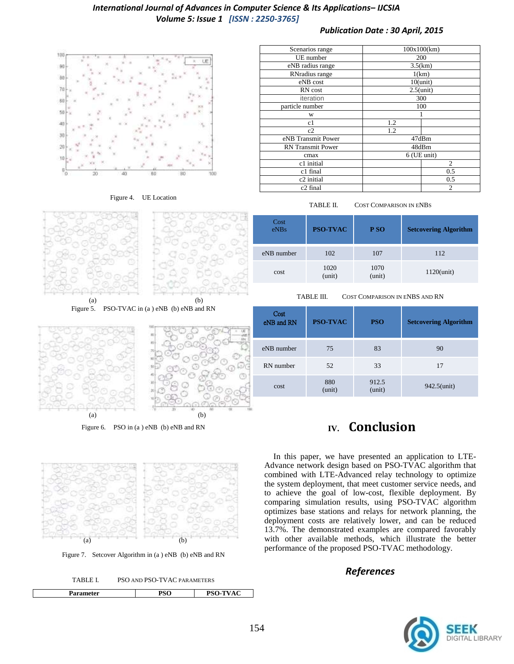#### *Publication Date : 30 April, 2015*



Figure 4. UE Location



Figure 5. PSO-TVAC in (a) eNB (b) eNB and RN



Figure 6. PSO in (a) eNB (b) eNB and RN



Figure 7. Setcover Algorithm in (a ) eNB (b) eNB and RN



| Scenarios range          | 100x100(km)    |  |  |
|--------------------------|----------------|--|--|
| UE number                | 200            |  |  |
| eNB radius range         | 3.5(km)        |  |  |
| RNradius range           | 1(km)          |  |  |
| eNB cost                 | $10$ (unit)    |  |  |
| RN cost                  | $2.5$ (unit)   |  |  |
| iteration                | 300            |  |  |
| particle number          | 100            |  |  |
| W                        |                |  |  |
| c1                       | 1.2            |  |  |
| c2                       | 1.2            |  |  |
| eNB Transmit Power       | 47dBm          |  |  |
| <b>RN</b> Transmit Power | 48dBm          |  |  |
| cmax                     | 6 (UE unit)    |  |  |
| c1 initial               | $\overline{2}$ |  |  |
| c1 final                 | 0.5            |  |  |
| c2 initial               | 0.5            |  |  |
| c <sub>2</sub> final     | $\overline{2}$ |  |  |

TABLE II. COST COMPARISON IN ENBS

| Cost<br>eNBs | <b>PSO-TVAC</b> | P <sub>SO</sub> | <b>Setcovering Algorithm</b> |
|--------------|-----------------|-----------------|------------------------------|
| eNB number   | 102             | 107             | 112                          |
| cost         | 1020<br>(unit)  | 1070<br>(unit)  | $1120$ (unit)                |

TABLE III. COST COMPARISON IN ENBS AND RN

| Cost<br>eNB and RN | <b>PSO-TVAC</b> | <b>PSO</b>      | <b>Setcovering Algorithm</b> |
|--------------------|-----------------|-----------------|------------------------------|
| eNB number         | 75              | 83              | 90                           |
| RN number          | 52              | 33              | 17                           |
| cost               | 880<br>(unit)   | 912.5<br>(unit) | 942.5(unit)                  |

# **IV. Conclusion**

In this paper, we have presented an application to LTE-Advance network design based on PSO-TVAC algorithm that combined with LTE-Advanced relay technology to optimize the system deployment, that meet customer service needs, and to achieve the goal of low-cost, flexible deployment. By comparing simulation results, using PSO-TVAC algorithm optimizes base stations and relays for network planning, the deployment costs are relatively lower, and can be reduced 13.7%. The demonstrated examples are compared favorably with other available methods, which illustrate the better performance of the proposed PSO-TVAC methodology.

## *References*